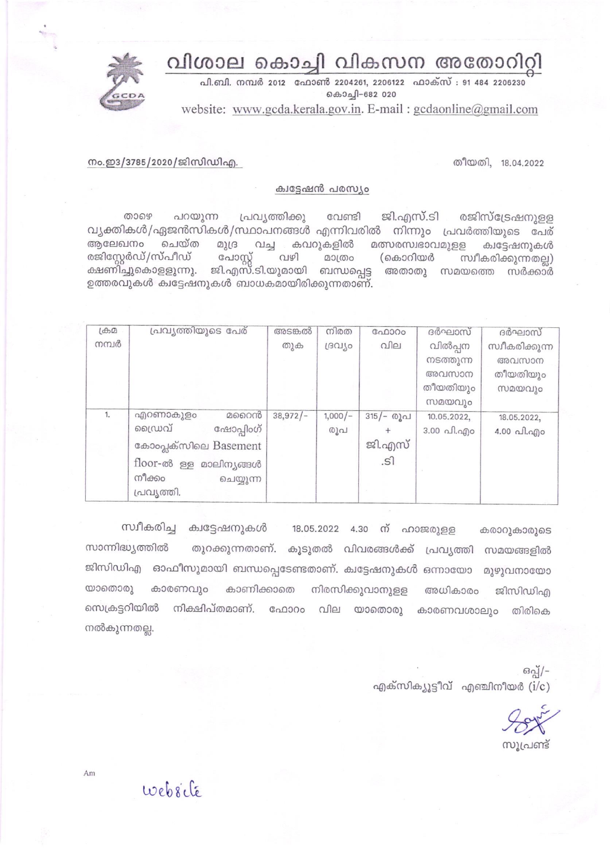## വിശാല കൊച്ചി വികസന അതോറിറ്റി



പി.ബി. നമ്പർ 2012 ഫോൺ 2204261, 2206122 ഫാക്സ് : 91 484 2206230 6ெகி-682 020

website: www.gcda.kerala.gov.in. E-mail: gcdaonline@gmail.com

തീയതി, 18.04.2022

നം.ഇ3/3785/2020/ജിസിഡിഎ.

## ക്വട്ടേഷൻ പരസ്യം

താഴെ പറയുന്ന പ്രവ്യത്തിക്കു ജി.എസ്.ടി രജിസ്ട്രേഷനുള്ള വേണ്ടി വ്യക്തികൾ/ഏജൻസികൾ/സ്ഥാപനങ്ങൾ എന്നിവരിൽ നിന്നും പ്രവർത്തിയുടെ പേര് ചെയ്ത അലേഖനം മുദ്ര വച്ച കവറുകളിൽ മത്സരസ്വഭാവമുളള ക്വട്ടേഷനുകൾ രജിസ്റ്റേർഡ്/സ്പീഡ് പോസ്റ്റ് വഴി മാത്രം (കൊറിയർ സ്വീകരിക്കുന്നതല്ല) ക്ഷണിച്ചുകൊളളുന്നു. ജി.എസ്.ടി.യുമായി ബന്ധപ്പെട്ട അതാതു സമയത്തെ സർക്കാർ ഉത്തരവുകൾ ക്വട്ടേഷനുകൾ ബാധകമായിരിക്കുന്നതാണ്.

| $1 + 2$ | പ്രവ്യത്തിയുടെ പേര്    | അടങ്കൽ     | നിരത      | ഫോറം      | ദർഘാസ്      | ദർഘാസ്                             |
|---------|------------------------|------------|-----------|-----------|-------------|------------------------------------|
| നമ്പർ   |                        | തുക        | ദ്രവിശ    | വില       | വിൽപ്പന     | സ്വീകരിക്കുന്ന                     |
|         |                        |            |           |           | നടത്തുന്ന   | അവസാന                              |
|         |                        |            |           |           | അവസാന       | തീയതിയും                           |
|         |                        |            |           |           | തീയതിയും    | സമയവും                             |
|         |                        |            |           |           | സമയവും      |                                    |
| 1.      | മറൈൻ<br>എറണാകുളം       | $38,972/-$ | $1,000/-$ | 315/- രൂപ | 10.05.2022, | 18.05.2022.                        |
|         | ഡൈവ്<br>ഹ്ഷോപ്പിംഗ്    |            | രൂപ       |           | 3.00 പി.എo  | $4.00 \text{ }\hat{}$ വി.എ $\circ$ |
|         | കോംപ്ലക്സിലെ Basement  |            |           | ജി.എസ്    |             |                                    |
|         | floor-ൽ ള്ള മാലിനൃങ്ങൾ |            |           | .s1       |             |                                    |
|         | നീക്കം<br>ചെയ്യുന്ന    |            |           |           |             |                                    |
|         | പ്രവ്യത്തി.            |            |           |           |             |                                    |

സ്വീകരിച്ച ക്വട്ടേഷനുകൾ 18.05.2022 4.30 ന് ഹാജരുളള കരാറുകാരുടെ തുറക്കുന്നതാണ്. കൂടുതൽ വിവരങ്ങൾക്ക് പ്രവ്യത്തി സമയങ്ങളിൽ സാന്നിദ്ധ്യത്തിൽ ജിസിഡിഎ ഓഫീസുമായി ബന്ധപ്പെടേണ്ടതാണ്. ക്വട്ടേഷനുകൾ ഒന്നായോ മൂഴുവനായോ യാതൊരു കാരണവും കാണിക്കാതെ നിരസിക്കുവാനുള്ള അധികാരം ജിസിഡിഎ നിക്ഷിപ്തമാണ്. ഫോറം വില യാതൊരു സെക്രട്ടറിയിൽ കാരണവശാലും തിരികെ നൽകുന്നതല്ല.

> ഒപ്പ്/-എക്സിക്യൂട്ടീവ് എഞ്ചിനീയർ  $(i/c)$

സൂപ്രണ്ട്

website

 $Am$